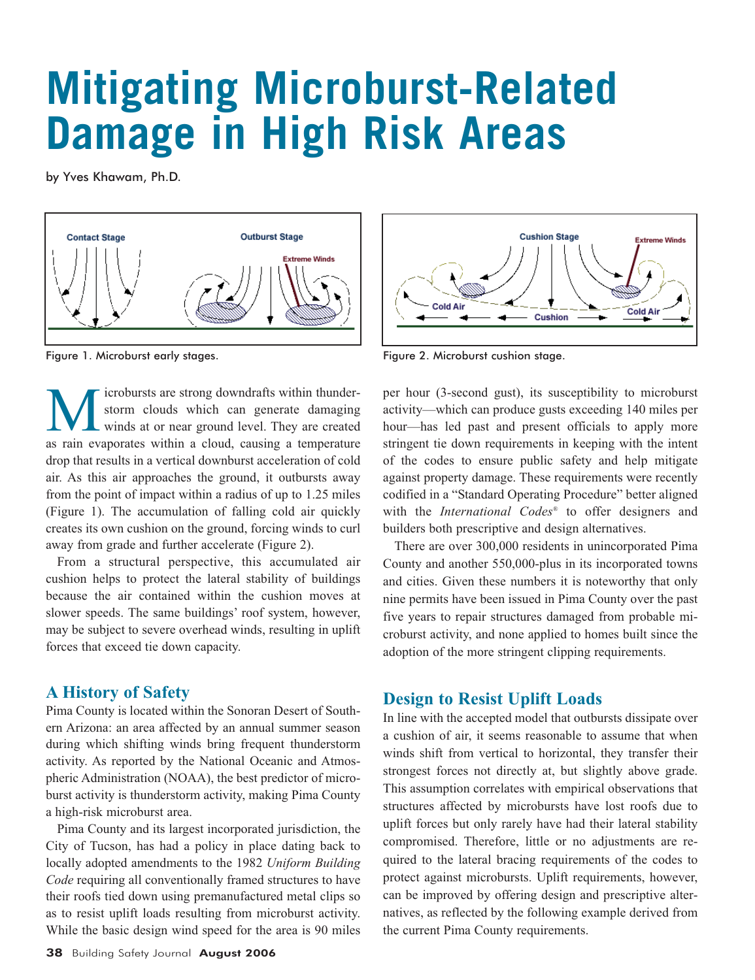# **Mitigating Microburst-Related Damage in High Risk Areas**

by Yves Khawam, Ph.D.



Figure 1. Microburst early stages. The state of the stage of the Figure 2. Microburst cushion stage.

icrobursts are strong downdrafts within thunderstorm clouds which can generate damaging winds at or near ground level. They are created as rain evaporates within a cloud, causing a temperature drop that results in a vertical downburst acceleration of cold air. As this air approaches the ground, it outbursts away from the point of impact within a radius of up to 1.25 miles (Figure 1). The accumulation of falling cold air quickly creates its own cushion on the ground, forcing winds to curl away from grade and further accelerate (Figure 2).

From a structural perspective, this accumulated air cushion helps to protect the lateral stability of buildings because the air contained within the cushion moves at slower speeds. The same buildings' roof system, however, may be subject to severe overhead winds, resulting in uplift forces that exceed tie down capacity.

#### **A History of Safety**

Pima County is located within the Sonoran Desert of Southern Arizona: an area affected by an annual summer season during which shifting winds bring frequent thunderstorm activity. As reported by the National Oceanic and Atmospheric Administration (NOAA), the best predictor of microburst activity is thunderstorm activity, making Pima County a high-risk microburst area.

Pima County and its largest incorporated jurisdiction, the City of Tucson, has had a policy in place dating back to locally adopted amendments to the 1982 *Uniform Building Code* requiring all conventionally framed structures to have their roofs tied down using premanufactured metal clips so as to resist uplift loads resulting from microburst activity. While the basic design wind speed for the area is 90 miles





per hour (3-second gust), its susceptibility to microburst activity—which can produce gusts exceeding 140 miles per hour—has led past and present officials to apply more stringent tie down requirements in keeping with the intent of the codes to ensure public safety and help mitigate against property damage. These requirements were recently codified in a "Standard Operating Procedure" better aligned with the *International Codes®* to offer designers and builders both prescriptive and design alternatives.

There are over 300,000 residents in unincorporated Pima County and another 550,000-plus in its incorporated towns and cities. Given these numbers it is noteworthy that only nine permits have been issued in Pima County over the past five years to repair structures damaged from probable microburst activity, and none applied to homes built since the adoption of the more stringent clipping requirements.

## **Design to Resist Uplift Loads**

In line with the accepted model that outbursts dissipate over a cushion of air, it seems reasonable to assume that when winds shift from vertical to horizontal, they transfer their strongest forces not directly at, but slightly above grade. This assumption correlates with empirical observations that structures affected by microbursts have lost roofs due to uplift forces but only rarely have had their lateral stability compromised. Therefore, little or no adjustments are required to the lateral bracing requirements of the codes to protect against microbursts. Uplift requirements, however, can be improved by offering design and prescriptive alternatives, as reflected by the following example derived from the current Pima County requirements.